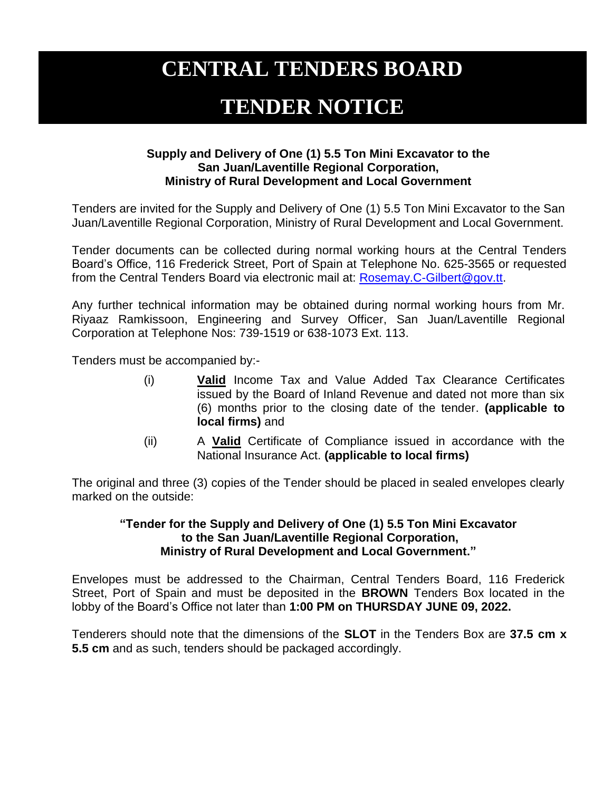# **CENTRAL TENDERS BOARD**

## **TENDER NOTICE**

### **Supply and Delivery of One (1) 5.5 Ton Mini Excavator to the San Juan/Laventille Regional Corporation, Ministry of Rural Development and Local Government**

Tenders are invited for the Supply and Delivery of One (1) 5.5 Ton Mini Excavator to the San Juan/Laventille Regional Corporation, Ministry of Rural Development and Local Government.

Tender documents can be collected during normal working hours at the Central Tenders Board's Office, 116 Frederick Street, Port of Spain at Telephone No. 625-3565 or requested from the Central Tenders Board via electronic mail at: [Rosemay.C-Gilbert@gov.tt.](mailto:Rosemay.C-Gilbert@gov.tt)

Any further technical information may be obtained during normal working hours from Mr. Riyaaz Ramkissoon, Engineering and Survey Officer, San Juan/Laventille Regional Corporation at Telephone Nos: 739-1519 or 638-1073 Ext. 113.

Tenders must be accompanied by:-

- (i) **Valid** Income Tax and Value Added Tax Clearance Certificates issued by the Board of Inland Revenue and dated not more than six (6) months prior to the closing date of the tender. **(applicable to local firms)** and
- (ii) A **Valid** Certificate of Compliance issued in accordance with the National Insurance Act. **(applicable to local firms)**

The original and three (3) copies of the Tender should be placed in sealed envelopes clearly marked on the outside:

### **"Tender for the Supply and Delivery of One (1) 5.5 Ton Mini Excavator to the San Juan/Laventille Regional Corporation, Ministry of Rural Development and Local Government."**

Envelopes must be addressed to the Chairman, Central Tenders Board, 116 Frederick Street, Port of Spain and must be deposited in the **BROWN** Tenders Box located in the lobby of the Board's Office not later than **1:00 PM on THURSDAY JUNE 09, 2022.**

Tenderers should note that the dimensions of the **SLOT** in the Tenders Box are **37.5 cm x 5.5 cm** and as such, tenders should be packaged accordingly.